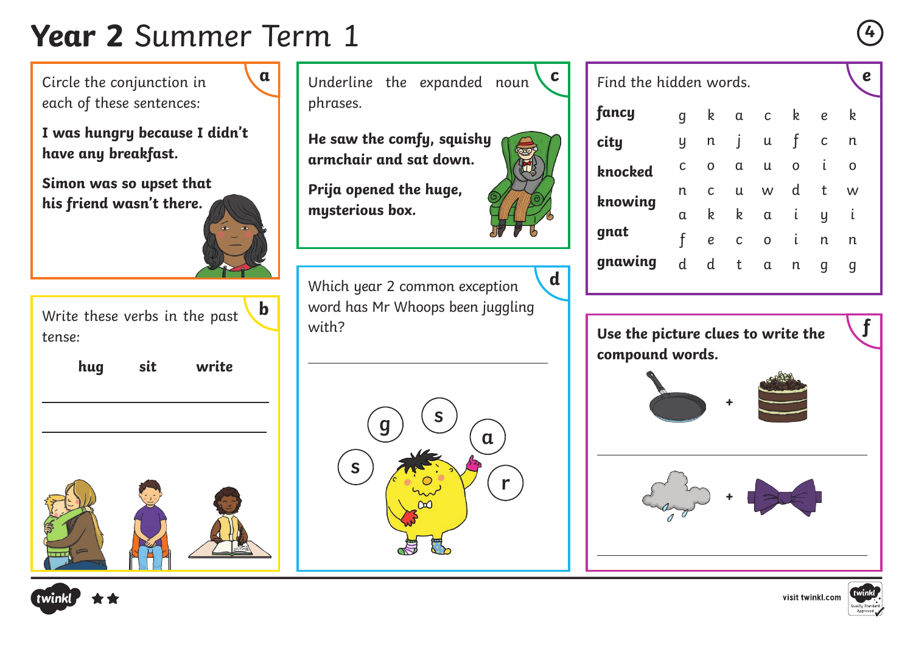## **Year 2** Summer Term 1 **<sup>4</sup>**

Circle the conjunction in each of these sentences:

**I was hungry because I didn't have any breakfast.**

**Simon was so upset that his friend wasn't there.**



**a** Underline the expanded noun **c** Find the hidden words. phrases.

**He saw the comfy, squishy armchair and sat down.**

**Prija opened the huge, mysterious box.**



Find the hidden words. **fancy city knocked knowing gnat gnawing** g k a c k e k y n j u f c n c o a u o i o n c u w d t w a k k a i y i f e c o i n n d d t a n g g

**Use the picture clues to write the compound words.**



 $\overline{a}$ 

 $\overline{a}$ 





**f**



 $\overline{a}$ 

Write these verbs in the past tense: **b**

 $\overline{a}$ 

 $\overline{a}$ 

**hug sit write**